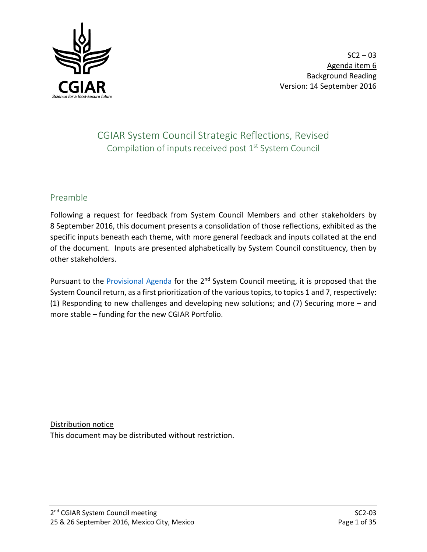

# CGIAR System Council Strategic Reflections, Revised Compilation of inputs received post 1<sup>st</sup> System Council

## Preamble

Following a request for feedback from System Council Members and other stakeholders by 8 September 2016, this document presents a consolidation of those reflections, exhibited as the specific inputs beneath each theme, with more general feedback and inputs collated at the end of the document. Inputs are presented alphabetically by System Council constituency, then by other stakeholders.

Pursuant to the [Provisional Agenda](http://cgiarweb.s3.amazonaws.com/wp-content/uploads/2016/09/SC2-01_Provisional-Agenda_25-26Sept2016.pdf) for the 2<sup>nd</sup> System Council meeting, it is proposed that the System Council return, as a first prioritization of the various topics, to topics 1 and 7, respectively: (1) Responding to new challenges and developing new solutions; and (7) Securing more – and more stable – funding for the new CGIAR Portfolio.

Distribution notice This document may be distributed without restriction.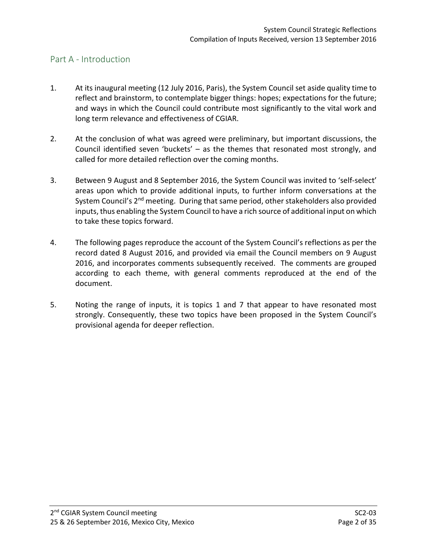## Part A - Introduction

- 1. At its inaugural meeting (12 July 2016, Paris), the System Council set aside quality time to reflect and brainstorm, to contemplate bigger things: hopes; expectations for the future; and ways in which the Council could contribute most significantly to the vital work and long term relevance and effectiveness of CGIAR.
- 2. At the conclusion of what was agreed were preliminary, but important discussions, the Council identified seven 'buckets' – as the themes that resonated most strongly, and called for more detailed reflection over the coming months.
- 3. Between 9 August and 8 September 2016, the System Council was invited to 'self-select' areas upon which to provide additional inputs, to further inform conversations at the System Council's 2<sup>nd</sup> meeting. During that same period, other stakeholders also provided inputs, thus enabling the System Council to have a rich source of additional input on which to take these topics forward.
- 4. The following pages reproduce the account of the System Council's reflections as per the record dated 8 August 2016, and provided via email the Council members on 9 August 2016, and incorporates comments subsequently received. The comments are grouped according to each theme, with general comments reproduced at the end of the document.
- 5. Noting the range of inputs, it is topics 1 and 7 that appear to have resonated most strongly. Consequently, these two topics have been proposed in the System Council's provisional agenda for deeper reflection.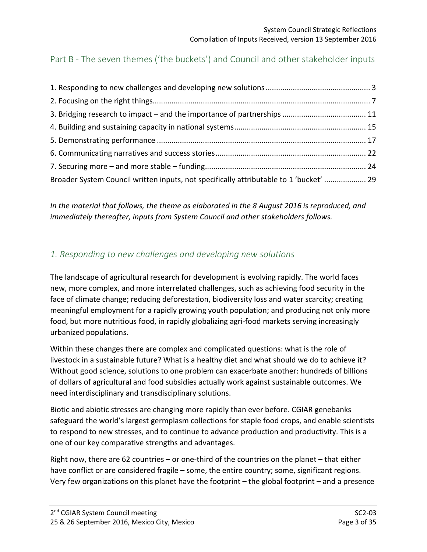# Part B - The seven themes ('the buckets') and Council and other stakeholder inputs

| Broader System Council written inputs, not specifically attributable to 1 'bucket'  29 |  |
|----------------------------------------------------------------------------------------|--|

*In the material that follows, the theme as elaborated in the 8 August 2016 is reproduced, and immediately thereafter, inputs from System Council and other stakeholders follows.*

# <span id="page-2-0"></span>*1. Responding to new challenges and developing new solutions*

The landscape of agricultural research for development is evolving rapidly. The world faces new, more complex, and more interrelated challenges, such as achieving food security in the face of climate change; reducing deforestation, biodiversity loss and water scarcity; creating meaningful employment for a rapidly growing youth population; and producing not only more food, but more nutritious food, in rapidly globalizing agri-food markets serving increasingly urbanized populations.

Within these changes there are complex and complicated questions: what is the role of livestock in a sustainable future? What is a healthy diet and what should we do to achieve it? Without good science, solutions to one problem can exacerbate another: hundreds of billions of dollars of agricultural and food subsidies actually work against sustainable outcomes. We need interdisciplinary and transdisciplinary solutions.

Biotic and abiotic stresses are changing more rapidly than ever before. CGIAR genebanks safeguard the world's largest germplasm collections for staple food crops, and enable scientists to respond to new stresses, and to continue to advance production and productivity. This is a one of our key comparative strengths and advantages.

Right now, there are 62 countries – or one-third of the countries on the planet – that either have conflict or are considered fragile – some, the entire country; some, significant regions. Very few organizations on this planet have the footprint – the global footprint – and a presence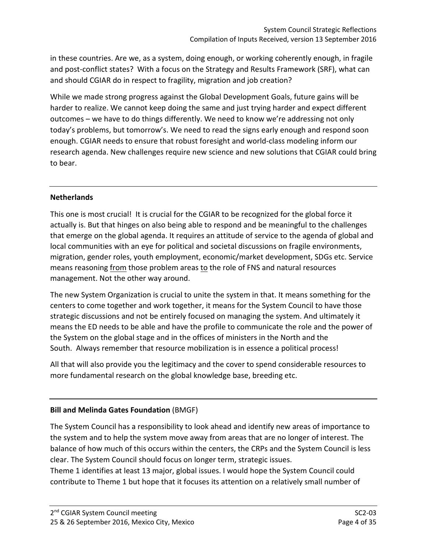in these countries. Are we, as a system, doing enough, or working coherently enough, in fragile and post-conflict states? With a focus on the Strategy and Results Framework (SRF), what can and should CGIAR do in respect to fragility, migration and job creation?

While we made strong progress against the Global Development Goals, future gains will be harder to realize. We cannot keep doing the same and just trying harder and expect different outcomes – we have to do things differently. We need to know we're addressing not only today's problems, but tomorrow's. We need to read the signs early enough and respond soon enough. CGIAR needs to ensure that robust foresight and world-class modeling inform our research agenda. New challenges require new science and new solutions that CGIAR could bring to bear.

## **Netherlands**

This one is most crucial! It is crucial for the CGIAR to be recognized for the global force it actually is. But that hinges on also being able to respond and be meaningful to the challenges that emerge on the global agenda. It requires an attitude of service to the agenda of global and local communities with an eye for political and societal discussions on fragile environments, migration, gender roles, youth employment, economic/market development, SDGs etc. Service means reasoning from those problem areas to the role of FNS and natural resources management. Not the other way around.

The new System Organization is crucial to unite the system in that. It means something for the centers to come together and work together, it means for the System Council to have those strategic discussions and not be entirely focused on managing the system. And ultimately it means the ED needs to be able and have the profile to communicate the role and the power of the System on the global stage and in the offices of ministers in the North and the South. Always remember that resource mobilization is in essence a political process!

All that will also provide you the legitimacy and the cover to spend considerable resources to more fundamental research on the global knowledge base, breeding etc.

## **Bill and Melinda Gates Foundation** (BMGF)

The System Council has a responsibility to look ahead and identify new areas of importance to the system and to help the system move away from areas that are no longer of interest. The balance of how much of this occurs within the centers, the CRPs and the System Council is less clear. The System Council should focus on longer term, strategic issues.

Theme 1 identifies at least 13 major, global issues. I would hope the System Council could contribute to Theme 1 but hope that it focuses its attention on a relatively small number of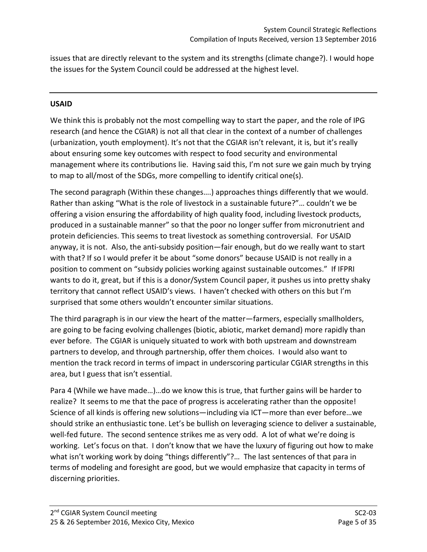issues that are directly relevant to the system and its strengths (climate change?). I would hope the issues for the System Council could be addressed at the highest level.

### **USAID**

We think this is probably not the most compelling way to start the paper, and the role of IPG research (and hence the CGIAR) is not all that clear in the context of a number of challenges (urbanization, youth employment). It's not that the CGIAR isn't relevant, it is, but it's really about ensuring some key outcomes with respect to food security and environmental management where its contributions lie. Having said this, I'm not sure we gain much by trying to map to all/most of the SDGs, more compelling to identify critical one(s).

The second paragraph (Within these changes….) approaches things differently that we would. Rather than asking "What is the role of livestock in a sustainable future?"… couldn't we be offering a vision ensuring the affordability of high quality food, including livestock products, produced in a sustainable manner" so that the poor no longer suffer from micronutrient and protein deficiencies. This seems to treat livestock as something controversial. For USAID anyway, it is not. Also, the anti-subsidy position—fair enough, but do we really want to start with that? If so I would prefer it be about "some donors" because USAID is not really in a position to comment on "subsidy policies working against sustainable outcomes." If IFPRI wants to do it, great, but if this is a donor/System Council paper, it pushes us into pretty shaky territory that cannot reflect USAID's views. I haven't checked with others on this but I'm surprised that some others wouldn't encounter similar situations.

The third paragraph is in our view the heart of the matter—farmers, especially smallholders, are going to be facing evolving challenges (biotic, abiotic, market demand) more rapidly than ever before. The CGIAR is uniquely situated to work with both upstream and downstream partners to develop, and through partnership, offer them choices. I would also want to mention the track record in terms of impact in underscoring particular CGIAR strengths in this area, but I guess that isn't essential.

Para 4 (While we have made…)…do we know this is true, that further gains will be harder to realize? It seems to me that the pace of progress is accelerating rather than the opposite! Science of all kinds is offering new solutions—including via ICT—more than ever before…we should strike an enthusiastic tone. Let's be bullish on leveraging science to deliver a sustainable, well-fed future. The second sentence strikes me as very odd. A lot of what we're doing is working. Let's focus on that. I don't know that we have the luxury of figuring out how to make what isn't working work by doing "things differently"?... The last sentences of that para in terms of modeling and foresight are good, but we would emphasize that capacity in terms of discerning priorities.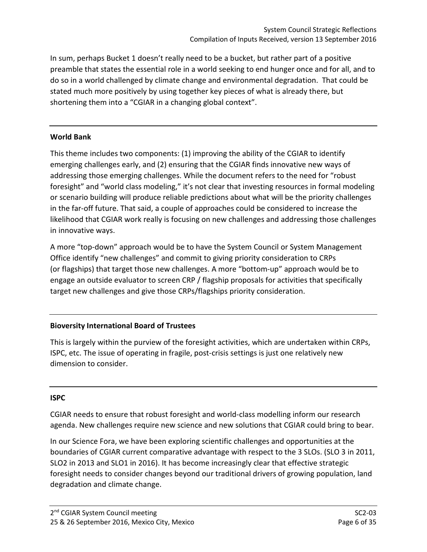In sum, perhaps Bucket 1 doesn't really need to be a bucket, but rather part of a positive preamble that states the essential role in a world seeking to end hunger once and for all, and to do so in a world challenged by climate change and environmental degradation. That could be stated much more positively by using together key pieces of what is already there, but shortening them into a "CGIAR in a changing global context".

## **World Bank**

This theme includes two components: (1) improving the ability of the CGIAR to identify emerging challenges early, and (2) ensuring that the CGIAR finds innovative new ways of addressing those emerging challenges. While the document refers to the need for "robust foresight" and "world class modeling," it's not clear that investing resources in formal modeling or scenario building will produce reliable predictions about what will be the priority challenges in the far-off future. That said, a couple of approaches could be considered to increase the likelihood that CGIAR work really is focusing on new challenges and addressing those challenges in innovative ways.

A more "top-down" approach would be to have the System Council or System Management Office identify "new challenges" and commit to giving priority consideration to CRPs (or flagships) that target those new challenges. A more "bottom-up" approach would be to engage an outside evaluator to screen CRP / flagship proposals for activities that specifically target new challenges and give those CRPs/flagships priority consideration.

## **Bioversity International Board of Trustees**

This is largely within the purview of the foresight activities, which are undertaken within CRPs, ISPC, etc. The issue of operating in fragile, post-crisis settings is just one relatively new dimension to consider.

#### **ISPC**

CGIAR needs to ensure that robust foresight and world-class modelling inform our research agenda. New challenges require new science and new solutions that CGIAR could bring to bear.

In our Science Fora, we have been exploring scientific challenges and opportunities at the boundaries of CGIAR current comparative advantage with respect to the 3 SLOs. (SLO 3 in 2011, SLO2 in 2013 and SLO1 in 2016). It has become increasingly clear that effective strategic foresight needs to consider changes beyond our traditional drivers of growing population, land degradation and climate change.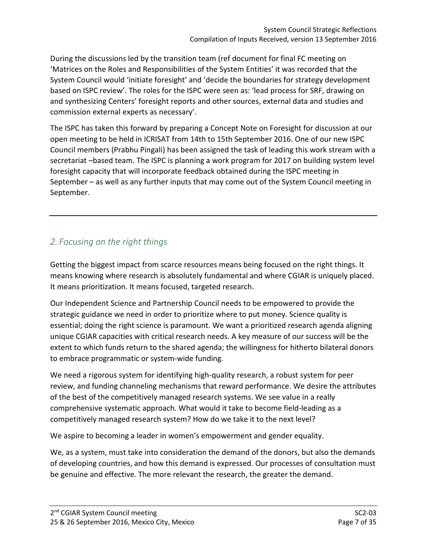During the discussions led by the transition team (ref document for final FC meeting on 'Matrices on the Roles and Responsibilities of the System Entities' it was recorded that the System Council would 'initiate foresight' and 'decide the boundaries for strategy development based on ISPC review'. The roles for the ISPC were seen as: 'lead process for SRF, drawing on and synthesizing Centers' foresight reports and other sources, external data and studies and commission external experts as necessary'.

The ISPC has taken this forward by preparing a Concept Note on Foresight for discussion at our open meeting to be held in ICRISAT from 14th to 15th September 2016. One of our new ISPC Council members (Prabhu Pingali) has been assigned the task of leading this work stream with a secretariat –based team. The ISPC is planning a work program for 2017 on building system level foresight capacity that will incorporate feedback obtained during the ISPC meeting in September – as well as any further inputs that may come out of the System Council meeting in September.

## <span id="page-6-0"></span>*2. Focusing on the right things*

Getting the biggest impact from scarce resources means being focused on the right things. It means knowing where research is absolutely fundamental and where CGIAR is uniquely placed. It means prioritization. It means focused, targeted research.

Our Independent Science and Partnership Council needs to be empowered to provide the strategic guidance we need in order to prioritize where to put money. Science quality is essential; doing the right science is paramount. We want a prioritized research agenda aligning unique CGIAR capacities with critical research needs. A key measure of our success will be the extent to which funds return to the shared agenda; the willingness for hitherto bilateral donors to embrace programmatic or system-wide funding.

We need a rigorous system for identifying high-quality research, a robust system for peer review, and funding channeling mechanisms that reward performance. We desire the attributes of the best of the competitively managed research systems. We see value in a really comprehensive systematic approach. What would it take to become field-leading as a competitively managed research system? How do we take it to the next level?

We aspire to becoming a leader in women's empowerment and gender equality.

We, as a system, must take into consideration the demand of the donors, but also the demands of developing countries, and how this demand is expressed. Our processes of consultation must be genuine and effective. The more relevant the research, the greater the demand.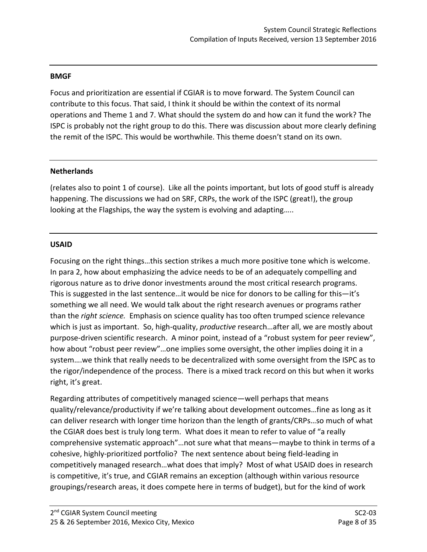#### **BMGF**

Focus and prioritization are essential if CGIAR is to move forward. The System Council can contribute to this focus. That said, I think it should be within the context of its normal operations and Theme 1 and 7. What should the system do and how can it fund the work? The ISPC is probably not the right group to do this. There was discussion about more clearly defining the remit of the ISPC. This would be worthwhile. This theme doesn't stand on its own.

#### **Netherlands**

(relates also to point 1 of course). Like all the points important, but lots of good stuff is already happening. The discussions we had on SRF, CRPs, the work of the ISPC (great!), the group looking at the Flagships, the way the system is evolving and adapting…..

#### **USAID**

Focusing on the right things…this section strikes a much more positive tone which is welcome. In para 2, how about emphasizing the advice needs to be of an adequately compelling and rigorous nature as to drive donor investments around the most critical research programs. This is suggested in the last sentence…it would be nice for donors to be calling for this—it's something we all need. We would talk about the right research avenues or programs rather than the *right science.* Emphasis on science quality has too often trumped science relevance which is just as important. So, high-quality, *productive* research…after all, we are mostly about purpose-driven scientific research. A minor point, instead of a "robust system for peer review", how about "robust peer review"…one implies some oversight, the other implies doing it in a system….we think that really needs to be decentralized with some oversight from the ISPC as to the rigor/independence of the process. There is a mixed track record on this but when it works right, it's great.

Regarding attributes of competitively managed science—well perhaps that means quality/relevance/productivity if we're talking about development outcomes…fine as long as it can deliver research with longer time horizon than the length of grants/CRPs…so much of what the CGIAR does best is truly long term. What does it mean to refer to value of "a really comprehensive systematic approach"…not sure what that means—maybe to think in terms of a cohesive, highly-prioritized portfolio? The next sentence about being field-leading in competitively managed research…what does that imply? Most of what USAID does in research is competitive, it's true, and CGIAR remains an exception (although within various resource groupings/research areas, it does compete here in terms of budget), but for the kind of work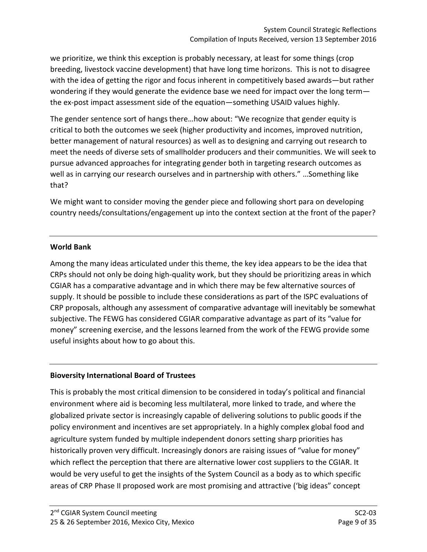we prioritize, we think this exception is probably necessary, at least for some things (crop breeding, livestock vaccine development) that have long time horizons. This is not to disagree with the idea of getting the rigor and focus inherent in competitively based awards—but rather wondering if they would generate the evidence base we need for impact over the long term the ex-post impact assessment side of the equation—something USAID values highly.

The gender sentence sort of hangs there…how about: "We recognize that gender equity is critical to both the outcomes we seek (higher productivity and incomes, improved nutrition, better management of natural resources) as well as to designing and carrying out research to meet the needs of diverse sets of smallholder producers and their communities. We will seek to pursue advanced approaches for integrating gender both in targeting research outcomes as well as in carrying our research ourselves and in partnership with others." …Something like that?

We might want to consider moving the gender piece and following short para on developing country needs/consultations/engagement up into the context section at the front of the paper?

## **World Bank**

Among the many ideas articulated under this theme, the key idea appears to be the idea that CRPs should not only be doing high-quality work, but they should be prioritizing areas in which CGIAR has a comparative advantage and in which there may be few alternative sources of supply. It should be possible to include these considerations as part of the ISPC evaluations of CRP proposals, although any assessment of comparative advantage will inevitably be somewhat subjective. The FEWG has considered CGIAR comparative advantage as part of its "value for money" screening exercise, and the lessons learned from the work of the FEWG provide some useful insights about how to go about this.

## **Bioversity International Board of Trustees**

This is probably the most critical dimension to be considered in today's political and financial environment where aid is becoming less multilateral, more linked to trade, and where the globalized private sector is increasingly capable of delivering solutions to public goods if the policy environment and incentives are set appropriately. In a highly complex global food and agriculture system funded by multiple independent donors setting sharp priorities has historically proven very difficult. Increasingly donors are raising issues of "value for money" which reflect the perception that there are alternative lower cost suppliers to the CGIAR. It would be very useful to get the insights of the System Council as a body as to which specific areas of CRP Phase II proposed work are most promising and attractive ('big ideas" concept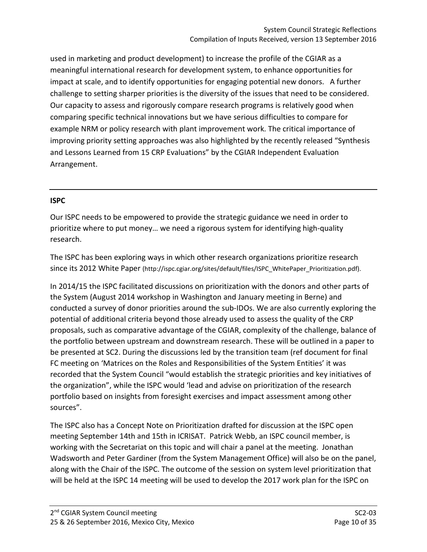used in marketing and product development) to increase the profile of the CGIAR as a meaningful international research for development system, to enhance opportunities for impact at scale, and to identify opportunities for engaging potential new donors. A further challenge to setting sharper priorities is the diversity of the issues that need to be considered. Our capacity to assess and rigorously compare research programs is relatively good when comparing specific technical innovations but we have serious difficulties to compare for example NRM or policy research with plant improvement work. The critical importance of improving priority setting approaches was also highlighted by the recently released "Synthesis and Lessons Learned from 15 CRP Evaluations" by the CGIAR Independent Evaluation Arrangement.

## **ISPC**

Our ISPC needs to be empowered to provide the strategic guidance we need in order to prioritize where to put money… we need a rigorous system for identifying high-quality research.

The ISPC has been exploring ways in which other research organizations prioritize research since its 2012 White Paper (http://ispc.cgiar.org/sites/default/files/ISPC\_WhitePaper\_Prioritization.pdf).

In 2014/15 the ISPC facilitated discussions on prioritization with the donors and other parts of the System (August 2014 workshop in Washington and January meeting in Berne) and conducted a survey of donor priorities around the sub-IDOs. We are also currently exploring the potential of additional criteria beyond those already used to assess the quality of the CRP proposals, such as comparative advantage of the CGIAR, complexity of the challenge, balance of the portfolio between upstream and downstream research. These will be outlined in a paper to be presented at SC2. During the discussions led by the transition team (ref document for final FC meeting on 'Matrices on the Roles and Responsibilities of the System Entities' it was recorded that the System Council "would establish the strategic priorities and key initiatives of the organization", while the ISPC would 'lead and advise on prioritization of the research portfolio based on insights from foresight exercises and impact assessment among other sources".

The ISPC also has a Concept Note on Prioritization drafted for discussion at the ISPC open meeting September 14th and 15th in ICRISAT. Patrick Webb, an ISPC council member, is working with the Secretariat on this topic and will chair a panel at the meeting. Jonathan Wadsworth and Peter Gardiner (from the System Management Office) will also be on the panel, along with the Chair of the ISPC. The outcome of the session on system level prioritization that will be held at the ISPC 14 meeting will be used to develop the 2017 work plan for the ISPC on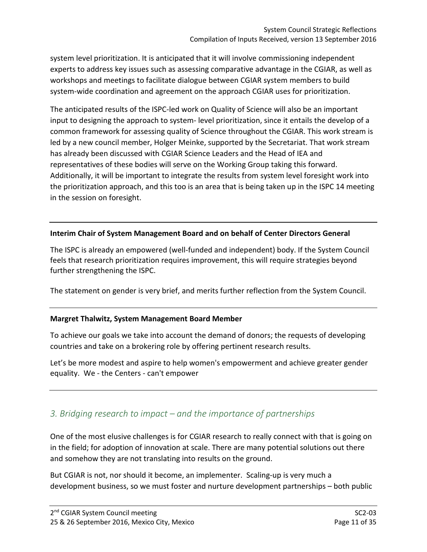system level prioritization. It is anticipated that it will involve commissioning independent experts to address key issues such as assessing comparative advantage in the CGIAR, as well as workshops and meetings to facilitate dialogue between CGIAR system members to build system-wide coordination and agreement on the approach CGIAR uses for prioritization.

The anticipated results of the ISPC-led work on Quality of Science will also be an important input to designing the approach to system- level prioritization, since it entails the develop of a common framework for assessing quality of Science throughout the CGIAR. This work stream is led by a new council member, Holger Meinke, supported by the Secretariat. That work stream has already been discussed with CGIAR Science Leaders and the Head of IEA and representatives of these bodies will serve on the Working Group taking this forward. Additionally, it will be important to integrate the results from system level foresight work into the prioritization approach, and this too is an area that is being taken up in the ISPC 14 meeting in the session on foresight.

#### **Interim Chair of System Management Board and on behalf of Center Directors General**

The ISPC is already an empowered (well-funded and independent) body. If the System Council feels that research prioritization requires improvement, this will require strategies beyond further strengthening the ISPC.

The statement on gender is very brief, and merits further reflection from the System Council.

#### **Margret Thalwitz, System Management Board Member**

To achieve our goals we take into account the demand of donors; the requests of developing countries and take on a brokering role by offering pertinent research results.

Let's be more modest and aspire to help women's empowerment and achieve greater gender equality. We - the Centers - can't empower

## <span id="page-10-0"></span>*3. Bridging research to impact – and the importance of partnerships*

One of the most elusive challenges is for CGIAR research to really connect with that is going on in the field; for adoption of innovation at scale. There are many potential solutions out there and somehow they are not translating into results on the ground.

But CGIAR is not, nor should it become, an implementer. Scaling-up is very much a development business, so we must foster and nurture development partnerships – both public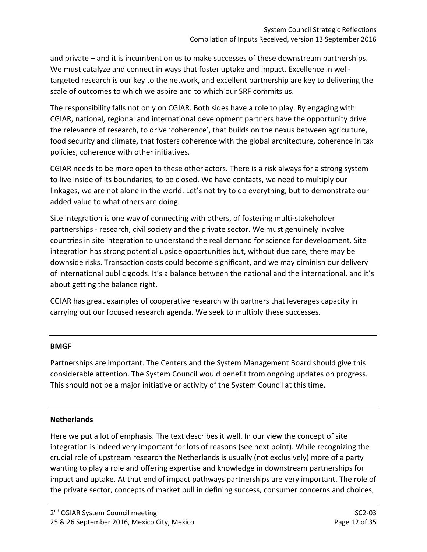and private – and it is incumbent on us to make successes of these downstream partnerships. We must catalyze and connect in ways that foster uptake and impact. Excellence in welltargeted research is our key to the network, and excellent partnership are key to delivering the scale of outcomes to which we aspire and to which our SRF commits us.

The responsibility falls not only on CGIAR. Both sides have a role to play. By engaging with CGIAR, national, regional and international development partners have the opportunity drive the relevance of research, to drive 'coherence', that builds on the nexus between agriculture, food security and climate, that fosters coherence with the global architecture, coherence in tax policies, coherence with other initiatives.

CGIAR needs to be more open to these other actors. There is a risk always for a strong system to live inside of its boundaries, to be closed. We have contacts, we need to multiply our linkages, we are not alone in the world. Let's not try to do everything, but to demonstrate our added value to what others are doing.

Site integration is one way of connecting with others, of fostering multi-stakeholder partnerships - research, civil society and the private sector. We must genuinely involve countries in site integration to understand the real demand for science for development. Site integration has strong potential upside opportunities but, without due care, there may be downside risks. Transaction costs could become significant, and we may diminish our delivery of international public goods. It's a balance between the national and the international, and it's about getting the balance right.

CGIAR has great examples of cooperative research with partners that leverages capacity in carrying out our focused research agenda. We seek to multiply these successes.

#### **BMGF**

Partnerships are important. The Centers and the System Management Board should give this considerable attention. The System Council would benefit from ongoing updates on progress. This should not be a major initiative or activity of the System Council at this time.

## **Netherlands**

Here we put a lot of emphasis. The text describes it well. In our view the concept of site integration is indeed very important for lots of reasons (see next point). While recognizing the crucial role of upstream research the Netherlands is usually (not exclusively) more of a party wanting to play a role and offering expertise and knowledge in downstream partnerships for impact and uptake. At that end of impact pathways partnerships are very important. The role of the private sector, concepts of market pull in defining success, consumer concerns and choices,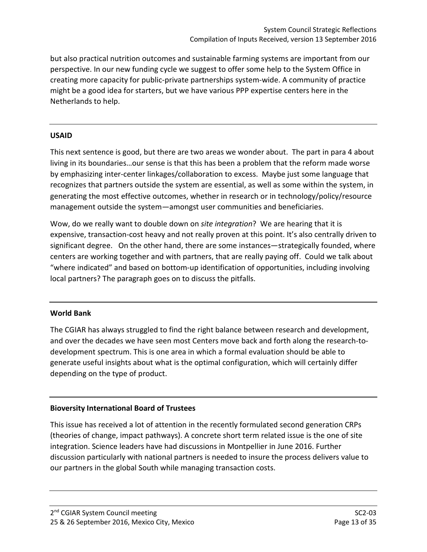but also practical nutrition outcomes and sustainable farming systems are important from our perspective. In our new funding cycle we suggest to offer some help to the System Office in creating more capacity for public-private partnerships system-wide. A community of practice might be a good idea for starters, but we have various PPP expertise centers here in the Netherlands to help.

#### **USAID**

This next sentence is good, but there are two areas we wonder about. The part in para 4 about living in its boundaries…our sense is that this has been a problem that the reform made worse by emphasizing inter-center linkages/collaboration to excess. Maybe just some language that recognizes that partners outside the system are essential, as well as some within the system, in generating the most effective outcomes, whether in research or in technology/policy/resource management outside the system—amongst user communities and beneficiaries.

Wow, do we really want to double down on *site integration*? We are hearing that it is expensive, transaction-cost heavy and not really proven at this point. It's also centrally driven to significant degree. On the other hand, there are some instances—strategically founded, where centers are working together and with partners, that are really paying off. Could we talk about "where indicated" and based on bottom-up identification of opportunities, including involving local partners? The paragraph goes on to discuss the pitfalls.

## **World Bank**

The CGIAR has always struggled to find the right balance between research and development, and over the decades we have seen most Centers move back and forth along the research-todevelopment spectrum. This is one area in which a formal evaluation should be able to generate useful insights about what is the optimal configuration, which will certainly differ depending on the type of product.

## **Bioversity International Board of Trustees**

This issue has received a lot of attention in the recently formulated second generation CRPs (theories of change, impact pathways). A concrete short term related issue is the one of site integration. Science leaders have had discussions in Montpellier in June 2016. Further discussion particularly with national partners is needed to insure the process delivers value to our partners in the global South while managing transaction costs.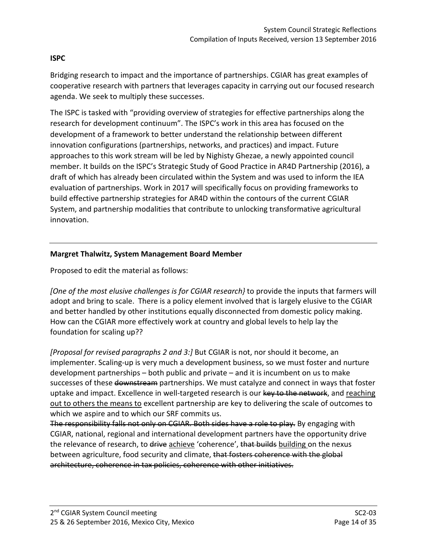## **ISPC**

Bridging research to impact and the importance of partnerships. CGIAR has great examples of cooperative research with partners that leverages capacity in carrying out our focused research agenda. We seek to multiply these successes.

The ISPC is tasked with "providing overview of strategies for effective partnerships along the research for development continuum". The ISPC's work in this area has focused on the development of a framework to better understand the relationship between different innovation configurations (partnerships, networks, and practices) and impact. Future approaches to this work stream will be led by Nighisty Ghezae, a newly appointed council member. It builds on the ISPC's Strategic Study of Good Practice in AR4D Partnership (2016), a draft of which has already been circulated within the System and was used to inform the IEA evaluation of partnerships. Work in 2017 will specifically focus on providing frameworks to build effective partnership strategies for AR4D within the contours of the current CGIAR System, and partnership modalities that contribute to unlocking transformative agricultural innovation.

#### **Margret Thalwitz, System Management Board Member**

Proposed to edit the material as follows:

*[One of the most elusive challenges is for CGIAR research}* to provide the inputs that farmers will adopt and bring to scale. There is a policy element involved that is largely elusive to the CGIAR and better handled by other institutions equally disconnected from domestic policy making. How can the CGIAR more effectively work at country and global levels to help lay the foundation for scaling up??

*[Proposal for revised paragraphs 2 and 3:]* But CGIAR is not, nor should it become, an implementer. Scaling-up is very much a development business, so we must foster and nurture development partnerships – both public and private – and it is incumbent on us to make successes of these downstream partnerships. We must catalyze and connect in ways that foster uptake and impact. Excellence in well-targeted research is our key to the network, and reaching out to others the means to excellent partnership are key to delivering the scale of outcomes to which we aspire and to which our SRF commits us.

The responsibility falls not only on CGIAR. Both sides have a role to play. By engaging with CGIAR, national, regional and international development partners have the opportunity drive the relevance of research, to drive achieve 'coherence', that builds building on the nexus between agriculture, food security and climate, that fosters coherence with the global architecture, coherence in tax policies, coherence with other initiatives.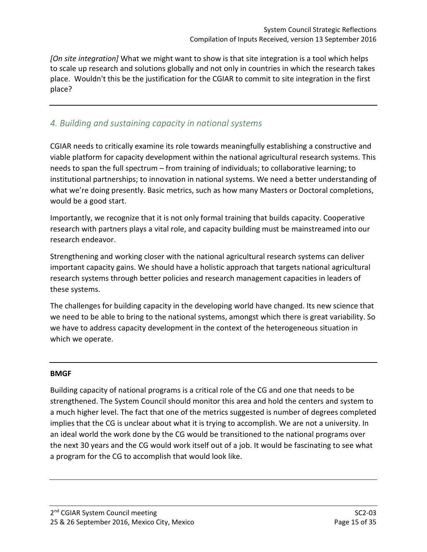*[On site integration]* What we might want to show is that site integration is a tool which helps to scale up research and solutions globally and not only in countries in which the research takes place. Wouldn't this be the justification for the CGIAR to commit to site integration in the first place?

## <span id="page-14-0"></span>*4. Building and sustaining capacity in national systems*

CGIAR needs to critically examine its role towards meaningfully establishing a constructive and viable platform for capacity development within the national agricultural research systems. This needs to span the full spectrum – from training of individuals; to collaborative learning; to institutional partnerships; to innovation in national systems. We need a better understanding of what we're doing presently. Basic metrics, such as how many Masters or Doctoral completions, would be a good start.

Importantly, we recognize that it is not only formal training that builds capacity. Cooperative research with partners plays a vital role, and capacity building must be mainstreamed into our research endeavor.

Strengthening and working closer with the national agricultural research systems can deliver important capacity gains. We should have a holistic approach that targets national agricultural research systems through better policies and research management capacities in leaders of these systems.

The challenges for building capacity in the developing world have changed. Its new science that we need to be able to bring to the national systems, amongst which there is great variability. So we have to address capacity development in the context of the heterogeneous situation in which we operate.

#### **BMGF**

Building capacity of national programs is a critical role of the CG and one that needs to be strengthened. The System Council should monitor this area and hold the centers and system to a much higher level. The fact that one of the metrics suggested is number of degrees completed implies that the CG is unclear about what it is trying to accomplish. We are not a university. In an ideal world the work done by the CG would be transitioned to the national programs over the next 30 years and the CG would work itself out of a job. It would be fascinating to see what a program for the CG to accomplish that would look like.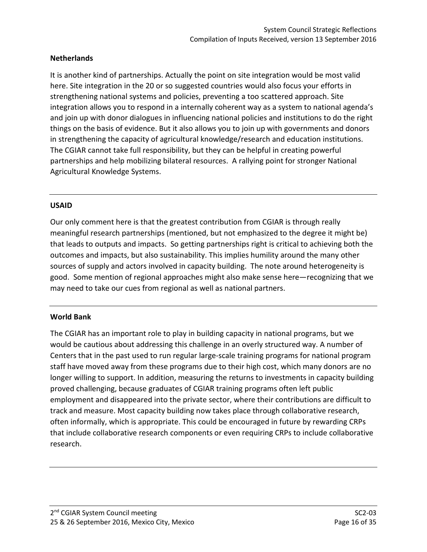## **Netherlands**

It is another kind of partnerships. Actually the point on site integration would be most valid here. Site integration in the 20 or so suggested countries would also focus your efforts in strengthening national systems and policies, preventing a too scattered approach. Site integration allows you to respond in a internally coherent way as a system to national agenda's and join up with donor dialogues in influencing national policies and institutions to do the right things on the basis of evidence. But it also allows you to join up with governments and donors in strengthening the capacity of agricultural knowledge/research and education institutions. The CGIAR cannot take full responsibility, but they can be helpful in creating powerful partnerships and help mobilizing bilateral resources. A rallying point for stronger National Agricultural Knowledge Systems.

#### **USAID**

Our only comment here is that the greatest contribution from CGIAR is through really meaningful research partnerships (mentioned, but not emphasized to the degree it might be) that leads to outputs and impacts. So getting partnerships right is critical to achieving both the outcomes and impacts, but also sustainability. This implies humility around the many other sources of supply and actors involved in capacity building. The note around heterogeneity is good. Some mention of regional approaches might also make sense here—recognizing that we may need to take our cues from regional as well as national partners.

#### **World Bank**

The CGIAR has an important role to play in building capacity in national programs, but we would be cautious about addressing this challenge in an overly structured way. A number of Centers that in the past used to run regular large-scale training programs for national program staff have moved away from these programs due to their high cost, which many donors are no longer willing to support. In addition, measuring the returns to investments in capacity building proved challenging, because graduates of CGIAR training programs often left public employment and disappeared into the private sector, where their contributions are difficult to track and measure. Most capacity building now takes place through collaborative research, often informally, which is appropriate. This could be encouraged in future by rewarding CRPs that include collaborative research components or even requiring CRPs to include collaborative research.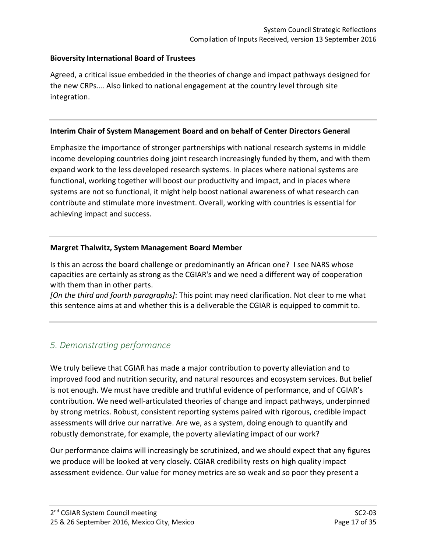### **Bioversity International Board of Trustees**

Agreed, a critical issue embedded in the theories of change and impact pathways designed for the new CRPs…. Also linked to national engagement at the country level through site integration.

#### **Interim Chair of System Management Board and on behalf of Center Directors General**

Emphasize the importance of stronger partnerships with national research systems in middle income developing countries doing joint research increasingly funded by them, and with them expand work to the less developed research systems. In places where national systems are functional, working together will boost our productivity and impact, and in places where systems are not so functional, it might help boost national awareness of what research can contribute and stimulate more investment. Overall, working with countries is essential for achieving impact and success.

#### **Margret Thalwitz, System Management Board Member**

Is this an across the board challenge or predominantly an African one? I see NARS whose capacities are certainly as strong as the CGIAR's and we need a different way of cooperation with them than in other parts.

*[On the third and fourth paragraphs]*: This point may need clarification. Not clear to me what this sentence aims at and whether this is a deliverable the CGIAR is equipped to commit to.

## <span id="page-16-0"></span>*5. Demonstrating performance*

We truly believe that CGIAR has made a major contribution to poverty alleviation and to improved food and nutrition security, and natural resources and ecosystem services. But belief is not enough. We must have credible and truthful evidence of performance, and of CGIAR's contribution. We need well-articulated theories of change and impact pathways, underpinned by strong metrics. Robust, consistent reporting systems paired with rigorous, credible impact assessments will drive our narrative. Are we, as a system, doing enough to quantify and robustly demonstrate, for example, the poverty alleviating impact of our work?

Our performance claims will increasingly be scrutinized, and we should expect that any figures we produce will be looked at very closely. CGIAR credibility rests on high quality impact assessment evidence. Our value for money metrics are so weak and so poor they present a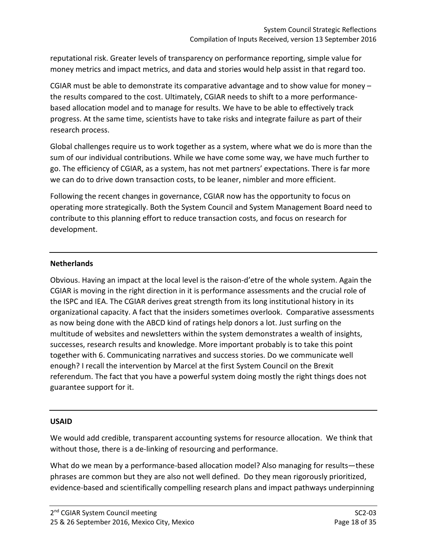reputational risk. Greater levels of transparency on performance reporting, simple value for money metrics and impact metrics, and data and stories would help assist in that regard too.

CGIAR must be able to demonstrate its comparative advantage and to show value for money – the results compared to the cost. Ultimately, CGIAR needs to shift to a more performancebased allocation model and to manage for results. We have to be able to effectively track progress. At the same time, scientists have to take risks and integrate failure as part of their research process.

Global challenges require us to work together as a system, where what we do is more than the sum of our individual contributions. While we have come some way, we have much further to go. The efficiency of CGIAR, as a system, has not met partners' expectations. There is far more we can do to drive down transaction costs, to be leaner, nimbler and more efficient.

Following the recent changes in governance, CGIAR now has the opportunity to focus on operating more strategically. Both the System Council and System Management Board need to contribute to this planning effort to reduce transaction costs, and focus on research for development.

#### **Netherlands**

Obvious. Having an impact at the local level is the raison-d'etre of the whole system. Again the CGIAR is moving in the right direction in it is performance assessments and the crucial role of the ISPC and IEA. The CGIAR derives great strength from its long institutional history in its organizational capacity. A fact that the insiders sometimes overlook. Comparative assessments as now being done with the ABCD kind of ratings help donors a lot. Just surfing on the multitude of websites and newsletters within the system demonstrates a wealth of insights, successes, research results and knowledge. More important probably is to take this point together with 6. Communicating narratives and success stories. Do we communicate well enough? I recall the intervention by Marcel at the first System Council on the Brexit referendum. The fact that you have a powerful system doing mostly the right things does not guarantee support for it.

#### **USAID**

We would add credible, transparent accounting systems for resource allocation. We think that without those, there is a de-linking of resourcing and performance.

What do we mean by a performance-based allocation model? Also managing for results—these phrases are common but they are also not well defined. Do they mean rigorously prioritized, evidence-based and scientifically compelling research plans and impact pathways underpinning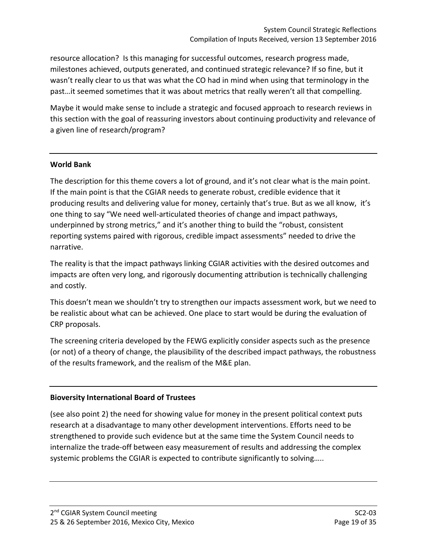resource allocation? Is this managing for successful outcomes, research progress made, milestones achieved, outputs generated, and continued strategic relevance? If so fine, but it wasn't really clear to us that was what the CO had in mind when using that terminology in the past…it seemed sometimes that it was about metrics that really weren't all that compelling.

Maybe it would make sense to include a strategic and focused approach to research reviews in this section with the goal of reassuring investors about continuing productivity and relevance of a given line of research/program?

## **World Bank**

The description for this theme covers a lot of ground, and it's not clear what is the main point. If the main point is that the CGIAR needs to generate robust, credible evidence that it producing results and delivering value for money, certainly that's true. But as we all know, it's one thing to say "We need well-articulated theories of change and impact pathways, underpinned by strong metrics," and it's another thing to build the "robust, consistent reporting systems paired with rigorous, credible impact assessments" needed to drive the narrative.

The reality is that the impact pathways linking CGIAR activities with the desired outcomes and impacts are often very long, and rigorously documenting attribution is technically challenging and costly.

This doesn't mean we shouldn't try to strengthen our impacts assessment work, but we need to be realistic about what can be achieved. One place to start would be during the evaluation of CRP proposals.

The screening criteria developed by the FEWG explicitly consider aspects such as the presence (or not) of a theory of change, the plausibility of the described impact pathways, the robustness of the results framework, and the realism of the M&E plan.

#### **Bioversity International Board of Trustees**

(see also point 2) the need for showing value for money in the present political context puts research at a disadvantage to many other development interventions. Efforts need to be strengthened to provide such evidence but at the same time the System Council needs to internalize the trade-off between easy measurement of results and addressing the complex systemic problems the CGIAR is expected to contribute significantly to solving…..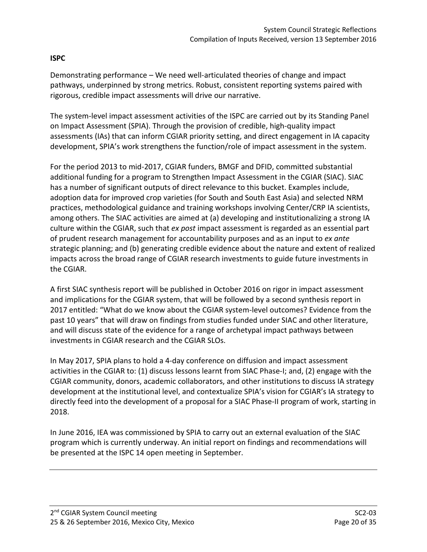## **ISPC**

Demonstrating performance – We need well-articulated theories of change and impact pathways, underpinned by strong metrics. Robust, consistent reporting systems paired with rigorous, credible impact assessments will drive our narrative.

The system-level impact assessment activities of the ISPC are carried out by its Standing Panel on Impact Assessment (SPIA). Through the provision of credible, high-quality impact assessments (IAs) that can inform CGIAR priority setting, and direct engagement in IA capacity development, SPIA's work strengthens the function/role of impact assessment in the system.

For the period 2013 to mid-2017, CGIAR funders, BMGF and DFID, committed substantial additional funding for a program to Strengthen Impact Assessment in the CGIAR (SIAC). SIAC has a number of significant outputs of direct relevance to this bucket. Examples include, adoption data for improved crop varieties (for South and South East Asia) and selected NRM practices, methodological guidance and training workshops involving Center/CRP IA scientists, among others. The SIAC activities are aimed at (a) developing and institutionalizing a strong IA culture within the CGIAR, such that *ex post* impact assessment is regarded as an essential part of prudent research management for accountability purposes and as an input to *ex ante*  strategic planning; and (b) generating credible evidence about the nature and extent of realized impacts across the broad range of CGIAR research investments to guide future investments in the CGIAR.

A first SIAC synthesis report will be published in October 2016 on rigor in impact assessment and implications for the CGIAR system, that will be followed by a second synthesis report in 2017 entitled: "What do we know about the CGIAR system-level outcomes? Evidence from the past 10 years" that will draw on findings from studies funded under SIAC and other literature, and will discuss state of the evidence for a range of archetypal impact pathways between investments in CGIAR research and the CGIAR SLOs.

In May 2017, SPIA plans to hold a 4-day conference on diffusion and impact assessment activities in the CGIAR to: (1) discuss lessons learnt from SIAC Phase-I; and, (2) engage with the CGIAR community, donors, academic collaborators, and other institutions to discuss IA strategy development at the institutional level, and contextualize SPIA's vision for CGIAR's IA strategy to directly feed into the development of a proposal for a SIAC Phase-II program of work, starting in 2018.

In June 2016, IEA was commissioned by SPIA to carry out an external evaluation of the SIAC program which is currently underway. An initial report on findings and recommendations will be presented at the ISPC 14 open meeting in September.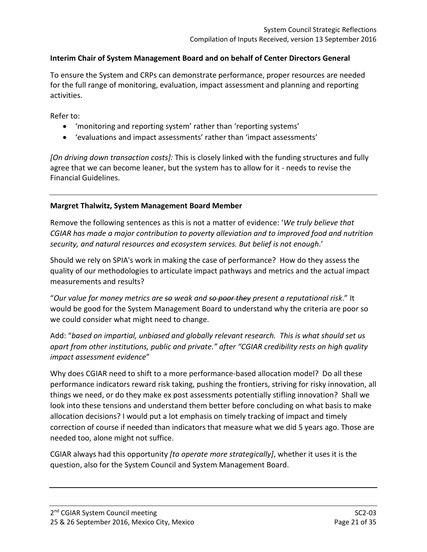### **Interim Chair of System Management Board and on behalf of Center Directors General**

To ensure the System and CRPs can demonstrate performance, proper resources are needed for the full range of monitoring, evaluation, impact assessment and planning and reporting activities.

Refer to:

- 'monitoring and reporting system' rather than 'reporting systems'
- 'evaluations and impact assessments' rather than 'impact assessments'

*[On driving down transaction costs]:* This is closely linked with the funding structures and fully agree that we can become leaner, but the system has to allow for it - needs to revise the Financial Guidelines.

#### **Margret Thalwitz, System Management Board Member**

Remove the following sentences as this is not a matter of evidence: '*We truly believe that CGIAR has made a major contribution to poverty alleviation and to improved food and nutrition security, and natural resources and ecosystem services. But belief is not enough*.'

Should we rely on SPIA's work in making the case of performance? How do they assess the quality of our methodologies to articulate impact pathways and metrics and the actual impact measurements and results?

"*Our value for money metrics are so weak and so poor they present a reputational risk*." It would be good for the System Management Board to understand why the criteria are poor so we could consider what might need to change.

Add: "*based on impartial, unbiased and globally relevant research. This is what should set us apart from other institutions, public and private." after "CGIAR credibility rests on high quality impact assessment evidence*"

Why does CGIAR need to shift to a more performance-based allocation model? Do all these performance indicators reward risk taking, pushing the frontiers, striving for risky innovation, all things we need, or do they make ex post assessments potentially stifling innovation? Shall we look into these tensions and understand them better before concluding on what basis to make allocation decisions? I would put a lot emphasis on timely tracking of impact and timely correction of course if needed than indicators that measure what we did 5 years ago. Those are needed too, alone might not suffice.

CGIAR always had this opportunity *[to operate more strategically]*, whether it uses it is the question, also for the System Council and System Management Board.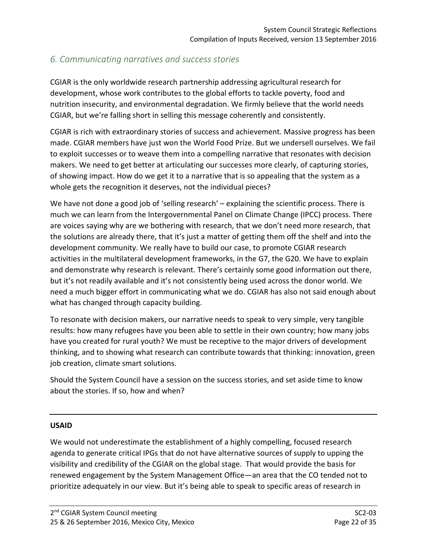## <span id="page-21-0"></span>*6. Communicating narratives and success stories*

CGIAR is the only worldwide research partnership addressing agricultural research for development, whose work contributes to the global efforts to tackle poverty, food and nutrition insecurity, and environmental degradation. We firmly believe that the world needs CGIAR, but we're falling short in selling this message coherently and consistently.

CGIAR is rich with extraordinary stories of success and achievement. Massive progress has been made. CGIAR members have just won the World Food Prize. But we undersell ourselves. We fail to exploit successes or to weave them into a compelling narrative that resonates with decision makers. We need to get better at articulating our successes more clearly, of capturing stories, of showing impact. How do we get it to a narrative that is so appealing that the system as a whole gets the recognition it deserves, not the individual pieces?

We have not done a good job of 'selling research' – explaining the scientific process. There is much we can learn from the Intergovernmental Panel on Climate Change (IPCC) process. There are voices saying why are we bothering with research, that we don't need more research, that the solutions are already there, that it's just a matter of getting them off the shelf and into the development community. We really have to build our case, to promote CGIAR research activities in the multilateral development frameworks, in the G7, the G20. We have to explain and demonstrate why research is relevant. There's certainly some good information out there, but it's not readily available and it's not consistently being used across the donor world. We need a much bigger effort in communicating what we do. CGIAR has also not said enough about what has changed through capacity building.

To resonate with decision makers, our narrative needs to speak to very simple, very tangible results: how many refugees have you been able to settle in their own country; how many jobs have you created for rural youth? We must be receptive to the major drivers of development thinking, and to showing what research can contribute towards that thinking: innovation, green job creation, climate smart solutions.

Should the System Council have a session on the success stories, and set aside time to know about the stories. If so, how and when?

## **USAID**

We would not underestimate the establishment of a highly compelling, focused research agenda to generate critical IPGs that do not have alternative sources of supply to upping the visibility and credibility of the CGIAR on the global stage. That would provide the basis for renewed engagement by the System Management Office—an area that the CO tended not to prioritize adequately in our view. But it's being able to speak to specific areas of research in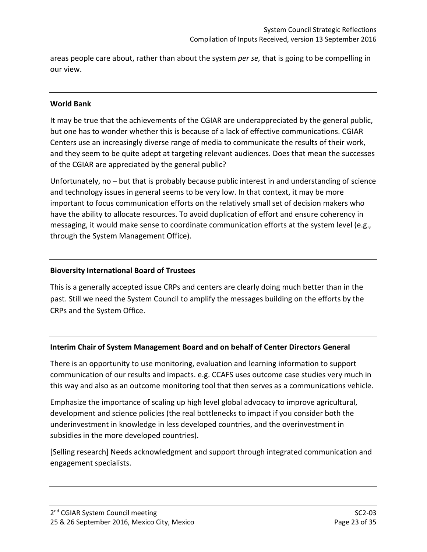areas people care about, rather than about the system *per se,* that is going to be compelling in our view.

#### **World Bank**

It may be true that the achievements of the CGIAR are underappreciated by the general public, but one has to wonder whether this is because of a lack of effective communications. CGIAR Centers use an increasingly diverse range of media to communicate the results of their work, and they seem to be quite adept at targeting relevant audiences. Does that mean the successes of the CGIAR are appreciated by the general public?

Unfortunately, no – but that is probably because public interest in and understanding of science and technology issues in general seems to be very low. In that context, it may be more important to focus communication efforts on the relatively small set of decision makers who have the ability to allocate resources. To avoid duplication of effort and ensure coherency in messaging, it would make sense to coordinate communication efforts at the system level (e.g., through the System Management Office).

#### **Bioversity International Board of Trustees**

This is a generally accepted issue CRPs and centers are clearly doing much better than in the past. Still we need the System Council to amplify the messages building on the efforts by the CRPs and the System Office.

#### **Interim Chair of System Management Board and on behalf of Center Directors General**

There is an opportunity to use monitoring, evaluation and learning information to support communication of our results and impacts. e.g. CCAFS uses outcome case studies very much in this way and also as an outcome monitoring tool that then serves as a communications vehicle.

Emphasize the importance of scaling up high level global advocacy to improve agricultural, development and science policies (the real bottlenecks to impact if you consider both the underinvestment in knowledge in less developed countries, and the overinvestment in subsidies in the more developed countries).

[Selling research] Needs acknowledgment and support through integrated communication and engagement specialists.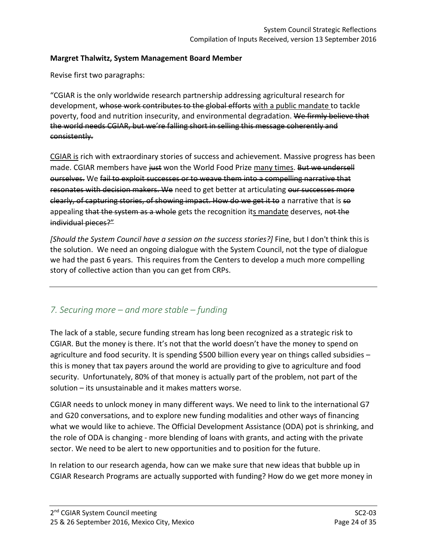#### **Margret Thalwitz, System Management Board Member**

Revise first two paragraphs:

"CGIAR is the only worldwide research partnership addressing agricultural research for development, whose work contributes to the global efforts with a public mandate to tackle poverty, food and nutrition insecurity, and environmental degradation. We firmly believe that the world needs CGIAR, but we're falling short in selling this message coherently and consistently.

CGIAR is rich with extraordinary stories of success and achievement. Massive progress has been made. CGIAR members have just won the World Food Prize many times. But we undersell ourselves. We fail to exploit successes or to weave them into a compelling narrative that resonates with decision makers. We need to get better at articulating our successes more clearly, of capturing stories, of showing impact. How do we get it to a narrative that is so appealing that the system as a whole gets the recognition its mandate deserves, not the individual pieces?"

*[Should the System Council have a session on the success stories?]* Fine, but I don't think this is the solution. We need an ongoing dialogue with the System Council, not the type of dialogue we had the past 6 years. This requires from the Centers to develop a much more compelling story of collective action than you can get from CRPs.

## <span id="page-23-0"></span>*7. Securing more – and more stable – funding*

The lack of a stable, secure funding stream has long been recognized as a strategic risk to CGIAR. But the money is there. It's not that the world doesn't have the money to spend on agriculture and food security. It is spending \$500 billion every year on things called subsidies – this is money that tax payers around the world are providing to give to agriculture and food security. Unfortunately, 80% of that money is actually part of the problem, not part of the solution – its unsustainable and it makes matters worse.

CGIAR needs to unlock money in many different ways. We need to link to the international G7 and G20 conversations, and to explore new funding modalities and other ways of financing what we would like to achieve. The Official Development Assistance (ODA) pot is shrinking, and the role of ODA is changing - more blending of loans with grants, and acting with the private sector. We need to be alert to new opportunities and to position for the future.

In relation to our research agenda, how can we make sure that new ideas that bubble up in CGIAR Research Programs are actually supported with funding? How do we get more money in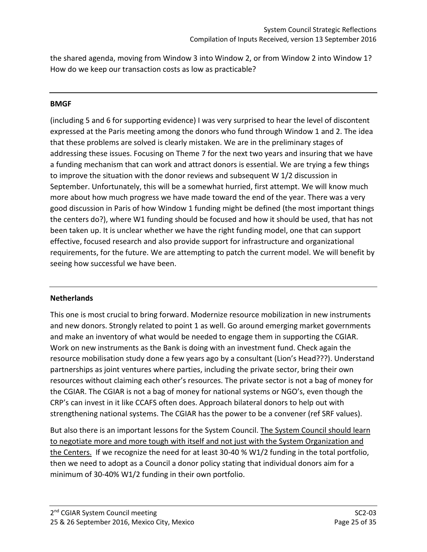the shared agenda, moving from Window 3 into Window 2, or from Window 2 into Window 1? How do we keep our transaction costs as low as practicable?

#### **BMGF**

(including 5 and 6 for supporting evidence) I was very surprised to hear the level of discontent expressed at the Paris meeting among the donors who fund through Window 1 and 2. The idea that these problems are solved is clearly mistaken. We are in the preliminary stages of addressing these issues. Focusing on Theme 7 for the next two years and insuring that we have a funding mechanism that can work and attract donors is essential. We are trying a few things to improve the situation with the donor reviews and subsequent W 1/2 discussion in September. Unfortunately, this will be a somewhat hurried, first attempt. We will know much more about how much progress we have made toward the end of the year. There was a very good discussion in Paris of how Window 1 funding might be defined (the most important things the centers do?), where W1 funding should be focused and how it should be used, that has not been taken up. It is unclear whether we have the right funding model, one that can support effective, focused research and also provide support for infrastructure and organizational requirements, for the future. We are attempting to patch the current model. We will benefit by seeing how successful we have been.

#### **Netherlands**

This one is most crucial to bring forward. Modernize resource mobilization in new instruments and new donors. Strongly related to point 1 as well. Go around emerging market governments and make an inventory of what would be needed to engage them in supporting the CGIAR. Work on new instruments as the Bank is doing with an investment fund. Check again the resource mobilisation study done a few years ago by a consultant (Lion's Head???). Understand partnerships as joint ventures where parties, including the private sector, bring their own resources without claiming each other's resources. The private sector is not a bag of money for the CGIAR. The CGIAR is not a bag of money for national systems or NGO's, even though the CRP's can invest in it like CCAFS often does. Approach bilateral donors to help out with strengthening national systems. The CGIAR has the power to be a convener (ref SRF values).

But also there is an important lessons for the System Council. The System Council should learn to negotiate more and more tough with itself and not just with the System Organization and the Centers. If we recognize the need for at least 30-40 % W1/2 funding in the total portfolio, then we need to adopt as a Council a donor policy stating that individual donors aim for a minimum of 30-40% W1/2 funding in their own portfolio.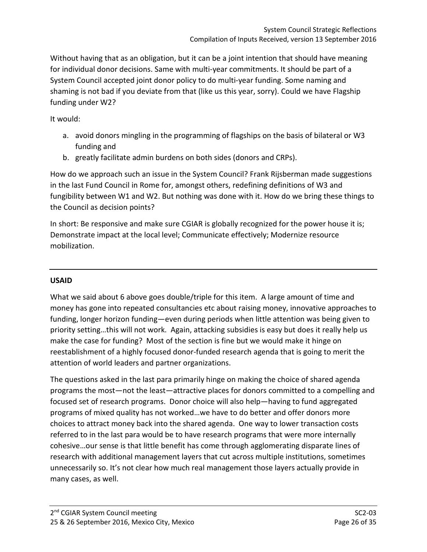Without having that as an obligation, but it can be a joint intention that should have meaning for individual donor decisions. Same with multi-year commitments. It should be part of a System Council accepted joint donor policy to do multi-year funding. Some naming and shaming is not bad if you deviate from that (like us this year, sorry). Could we have Flagship funding under W2?

## It would:

- a. avoid donors mingling in the programming of flagships on the basis of bilateral or W3 funding and
- b. greatly facilitate admin burdens on both sides (donors and CRPs).

How do we approach such an issue in the System Council? Frank Rijsberman made suggestions in the last Fund Council in Rome for, amongst others, redefining definitions of W3 and fungibility between W1 and W2. But nothing was done with it. How do we bring these things to the Council as decision points?

In short: Be responsive and make sure CGIAR is globally recognized for the power house it is; Demonstrate impact at the local level; Communicate effectively; Modernize resource mobilization.

## **USAID**

What we said about 6 above goes double/triple for this item. A large amount of time and money has gone into repeated consultancies etc about raising money, innovative approaches to funding, longer horizon funding—even during periods when little attention was being given to priority setting…this will not work. Again, attacking subsidies is easy but does it really help us make the case for funding? Most of the section is fine but we would make it hinge on reestablishment of a highly focused donor-funded research agenda that is going to merit the attention of world leaders and partner organizations.

The questions asked in the last para primarily hinge on making the choice of shared agenda programs the most—not the least—attractive places for donors committed to a compelling and focused set of research programs. Donor choice will also help—having to fund aggregated programs of mixed quality has not worked…we have to do better and offer donors more choices to attract money back into the shared agenda. One way to lower transaction costs referred to in the last para would be to have research programs that were more internally cohesive…our sense is that little benefit has come through agglomerating disparate lines of research with additional management layers that cut across multiple institutions, sometimes unnecessarily so. It's not clear how much real management those layers actually provide in many cases, as well.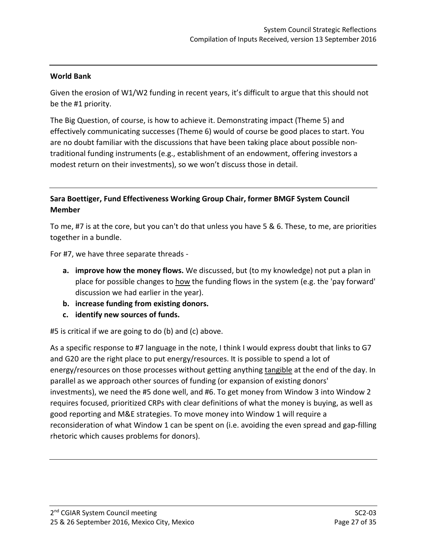#### **World Bank**

Given the erosion of W1/W2 funding in recent years, it's difficult to argue that this should not be the #1 priority.

The Big Question, of course, is how to achieve it. Demonstrating impact (Theme 5) and effectively communicating successes (Theme 6) would of course be good places to start. You are no doubt familiar with the discussions that have been taking place about possible nontraditional funding instruments (e.g., establishment of an endowment, offering investors a modest return on their investments), so we won't discuss those in detail.

## **Sara Boettiger, Fund Effectiveness Working Group Chair, former BMGF System Council Member**

To me, #7 is at the core, but you can't do that unless you have 5 & 6. These, to me, are priorities together in a bundle.

For #7, we have three separate threads -

- **a. improve how the money flows.** We discussed, but (to my knowledge) not put a plan in place for possible changes to how the funding flows in the system (e.g. the 'pay forward' discussion we had earlier in the year).
- **b. increase funding from existing donors.**
- **c. identify new sources of funds.**

#5 is critical if we are going to do (b) and (c) above.

As a specific response to #7 language in the note, I think I would express doubt that links to G7 and G20 are the right place to put energy/resources. It is possible to spend a lot of energy/resources on those processes without getting anything tangible at the end of the day. In parallel as we approach other sources of funding (or expansion of existing donors' investments), we need the #5 done well, and #6. To get money from Window 3 into Window 2 requires focused, prioritized CRPs with clear definitions of what the money is buying, as well as good reporting and M&E strategies. To move money into Window 1 will require a reconsideration of what Window 1 can be spent on (i.e. avoiding the even spread and gap-filling rhetoric which causes problems for donors).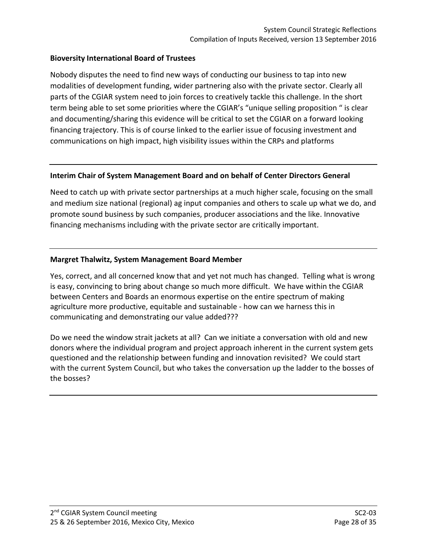#### **Bioversity International Board of Trustees**

Nobody disputes the need to find new ways of conducting our business to tap into new modalities of development funding, wider partnering also with the private sector. Clearly all parts of the CGIAR system need to join forces to creatively tackle this challenge. In the short term being able to set some priorities where the CGIAR's "unique selling proposition " is clear and documenting/sharing this evidence will be critical to set the CGIAR on a forward looking financing trajectory. This is of course linked to the earlier issue of focusing investment and communications on high impact, high visibility issues within the CRPs and platforms

#### **Interim Chair of System Management Board and on behalf of Center Directors General**

Need to catch up with private sector partnerships at a much higher scale, focusing on the small and medium size national (regional) ag input companies and others to scale up what we do, and promote sound business by such companies, producer associations and the like. Innovative financing mechanisms including with the private sector are critically important.

#### **Margret Thalwitz, System Management Board Member**

Yes, correct, and all concerned know that and yet not much has changed. Telling what is wrong is easy, convincing to bring about change so much more difficult. We have within the CGIAR between Centers and Boards an enormous expertise on the entire spectrum of making agriculture more productive, equitable and sustainable - how can we harness this in communicating and demonstrating our value added???

Do we need the window strait jackets at all? Can we initiate a conversation with old and new donors where the individual program and project approach inherent in the current system gets questioned and the relationship between funding and innovation revisited? We could start with the current System Council, but who takes the conversation up the ladder to the bosses of the bosses?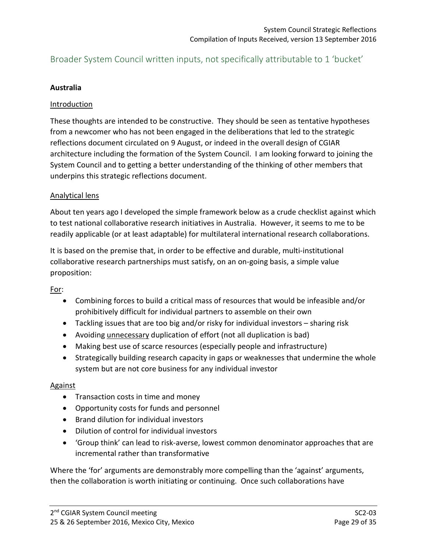## <span id="page-28-0"></span>Broader System Council written inputs, not specifically attributable to 1 'bucket'

### **Australia**

#### Introduction

These thoughts are intended to be constructive. They should be seen as tentative hypotheses from a newcomer who has not been engaged in the deliberations that led to the strategic reflections document circulated on 9 August, or indeed in the overall design of CGIAR architecture including the formation of the System Council. I am looking forward to joining the System Council and to getting a better understanding of the thinking of other members that underpins this strategic reflections document.

#### Analytical lens

About ten years ago I developed the simple framework below as a crude checklist against which to test national collaborative research initiatives in Australia. However, it seems to me to be readily applicable (or at least adaptable) for multilateral international research collaborations.

It is based on the premise that, in order to be effective and durable, multi-institutional collaborative research partnerships must satisfy, on an on-going basis, a simple value proposition:

For:

- Combining forces to build a critical mass of resources that would be infeasible and/or prohibitively difficult for individual partners to assemble on their own
- Tackling issues that are too big and/or risky for individual investors sharing risk
- Avoiding unnecessary duplication of effort (not all duplication is bad)
- Making best use of scarce resources (especially people and infrastructure)
- Strategically building research capacity in gaps or weaknesses that undermine the whole system but are not core business for any individual investor

#### Against

- Transaction costs in time and money
- Opportunity costs for funds and personnel
- Brand dilution for individual investors
- Dilution of control for individual investors
- 'Group think' can lead to risk-averse, lowest common denominator approaches that are incremental rather than transformative

Where the 'for' arguments are demonstrably more compelling than the 'against' arguments, then the collaboration is worth initiating or continuing. Once such collaborations have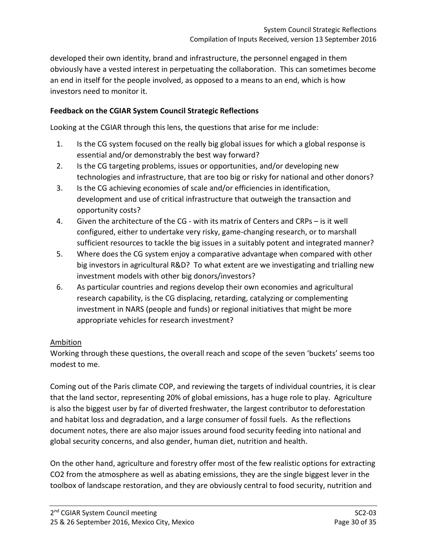developed their own identity, brand and infrastructure, the personnel engaged in them obviously have a vested interest in perpetuating the collaboration. This can sometimes become an end in itself for the people involved, as opposed to a means to an end, which is how investors need to monitor it.

## **Feedback on the CGIAR System Council Strategic Reflections**

Looking at the CGIAR through this lens, the questions that arise for me include:

- 1. Is the CG system focused on the really big global issues for which a global response is essential and/or demonstrably the best way forward?
- 2. Is the CG targeting problems, issues or opportunities, and/or developing new technologies and infrastructure, that are too big or risky for national and other donors?
- 3. Is the CG achieving economies of scale and/or efficiencies in identification, development and use of critical infrastructure that outweigh the transaction and opportunity costs?
- 4. Given the architecture of the CG with its matrix of Centers and CRPs is it well configured, either to undertake very risky, game-changing research, or to marshall sufficient resources to tackle the big issues in a suitably potent and integrated manner?
- 5. Where does the CG system enjoy a comparative advantage when compared with other big investors in agricultural R&D? To what extent are we investigating and trialling new investment models with other big donors/investors?
- 6. As particular countries and regions develop their own economies and agricultural research capability, is the CG displacing, retarding, catalyzing or complementing investment in NARS (people and funds) or regional initiatives that might be more appropriate vehicles for research investment?

## Ambition

Working through these questions, the overall reach and scope of the seven 'buckets' seems too modest to me.

Coming out of the Paris climate COP, and reviewing the targets of individual countries, it is clear that the land sector, representing 20% of global emissions, has a huge role to play. Agriculture is also the biggest user by far of diverted freshwater, the largest contributor to deforestation and habitat loss and degradation, and a large consumer of fossil fuels. As the reflections document notes, there are also major issues around food security feeding into national and global security concerns, and also gender, human diet, nutrition and health.

On the other hand, agriculture and forestry offer most of the few realistic options for extracting CO2 from the atmosphere as well as abating emissions, they are the single biggest lever in the toolbox of landscape restoration, and they are obviously central to food security, nutrition and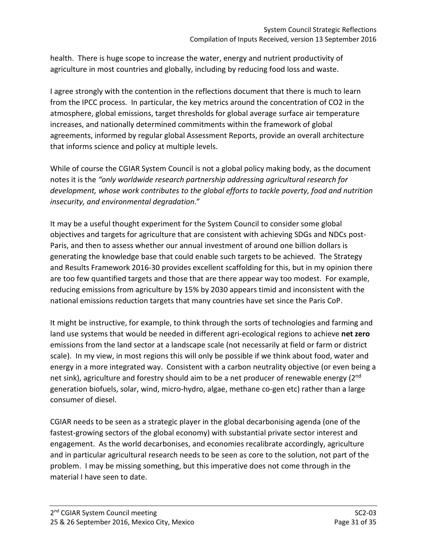health. There is huge scope to increase the water, energy and nutrient productivity of agriculture in most countries and globally, including by reducing food loss and waste.

I agree strongly with the contention in the reflections document that there is much to learn from the IPCC process. In particular, the key metrics around the concentration of CO2 in the atmosphere, global emissions, target thresholds for global average surface air temperature increases, and nationally determined commitments within the framework of global agreements, informed by regular global Assessment Reports, provide an overall architecture that informs science and policy at multiple levels.

While of course the CGIAR System Council is not a global policy making body, as the document notes it is the *"only worldwide research partnership addressing agricultural research for development, whose work contributes to the global efforts to tackle poverty, food and nutrition insecurity, and environmental degradation*."

It may be a useful thought experiment for the System Council to consider some global objectives and targets for agriculture that are consistent with achieving SDGs and NDCs post-Paris, and then to assess whether our annual investment of around one billion dollars is generating the knowledge base that could enable such targets to be achieved. The Strategy and Results Framework 2016-30 provides excellent scaffolding for this, but in my opinion there are too few quantified targets and those that are there appear way too modest. For example, reducing emissions from agriculture by 15% by 2030 appears timid and inconsistent with the national emissions reduction targets that many countries have set since the Paris CoP.

It might be instructive, for example, to think through the sorts of technologies and farming and land use systems that would be needed in different agri-ecological regions to achieve **net zero** emissions from the land sector at a landscape scale (not necessarily at field or farm or district scale). In my view, in most regions this will only be possible if we think about food, water and energy in a more integrated way. Consistent with a carbon neutrality objective (or even being a net sink), agriculture and forestry should aim to be a net producer of renewable energy (2<sup>nd</sup>) generation biofuels, solar, wind, micro-hydro, algae, methane co-gen etc) rather than a large consumer of diesel.

CGIAR needs to be seen as a strategic player in the global decarbonising agenda (one of the fastest-growing sectors of the global economy) with substantial private sector interest and engagement. As the world decarbonises, and economies recalibrate accordingly, agriculture and in particular agricultural research needs to be seen as core to the solution, not part of the problem. I may be missing something, but this imperative does not come through in the material I have seen to date.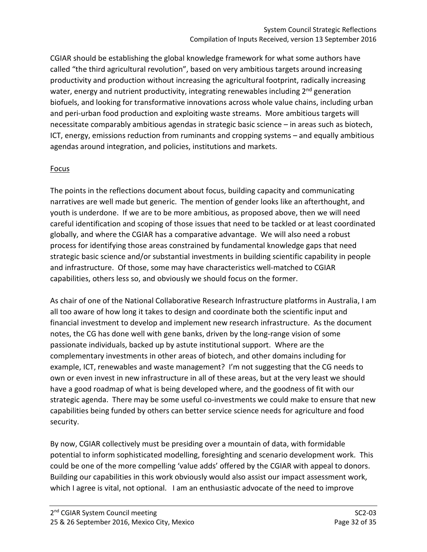CGIAR should be establishing the global knowledge framework for what some authors have called "the third agricultural revolution", based on very ambitious targets around increasing productivity and production without increasing the agricultural footprint, radically increasing water, energy and nutrient productivity, integrating renewables including 2<sup>nd</sup> generation biofuels, and looking for transformative innovations across whole value chains, including urban and peri-urban food production and exploiting waste streams. More ambitious targets will necessitate comparably ambitious agendas in strategic basic science – in areas such as biotech, ICT, energy, emissions reduction from ruminants and cropping systems – and equally ambitious agendas around integration, and policies, institutions and markets.

## **Focus**

The points in the reflections document about focus, building capacity and communicating narratives are well made but generic. The mention of gender looks like an afterthought, and youth is underdone. If we are to be more ambitious, as proposed above, then we will need careful identification and scoping of those issues that need to be tackled or at least coordinated globally, and where the CGIAR has a comparative advantage. We will also need a robust process for identifying those areas constrained by fundamental knowledge gaps that need strategic basic science and/or substantial investments in building scientific capability in people and infrastructure. Of those, some may have characteristics well-matched to CGIAR capabilities, others less so, and obviously we should focus on the former.

As chair of one of the National Collaborative Research Infrastructure platforms in Australia, I am all too aware of how long it takes to design and coordinate both the scientific input and financial investment to develop and implement new research infrastructure. As the document notes, the CG has done well with gene banks, driven by the long-range vision of some passionate individuals, backed up by astute institutional support. Where are the complementary investments in other areas of biotech, and other domains including for example, ICT, renewables and waste management? I'm not suggesting that the CG needs to own or even invest in new infrastructure in all of these areas, but at the very least we should have a good roadmap of what is being developed where, and the goodness of fit with our strategic agenda. There may be some useful co-investments we could make to ensure that new capabilities being funded by others can better service science needs for agriculture and food security.

By now, CGIAR collectively must be presiding over a mountain of data, with formidable potential to inform sophisticated modelling, foresighting and scenario development work. This could be one of the more compelling 'value adds' offered by the CGIAR with appeal to donors. Building our capabilities in this work obviously would also assist our impact assessment work, which I agree is vital, not optional. I am an enthusiastic advocate of the need to improve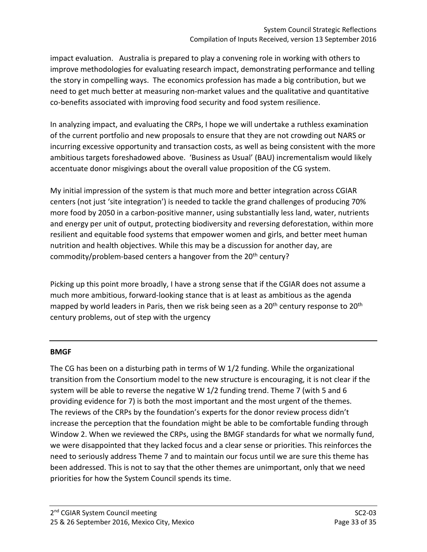impact evaluation. Australia is prepared to play a convening role in working with others to improve methodologies for evaluating research impact, demonstrating performance and telling the story in compelling ways. The economics profession has made a big contribution, but we need to get much better at measuring non-market values and the qualitative and quantitative co-benefits associated with improving food security and food system resilience.

In analyzing impact, and evaluating the CRPs, I hope we will undertake a ruthless examination of the current portfolio and new proposals to ensure that they are not crowding out NARS or incurring excessive opportunity and transaction costs, as well as being consistent with the more ambitious targets foreshadowed above. 'Business as Usual' (BAU) incrementalism would likely accentuate donor misgivings about the overall value proposition of the CG system.

My initial impression of the system is that much more and better integration across CGIAR centers (not just 'site integration') is needed to tackle the grand challenges of producing 70% more food by 2050 in a carbon-positive manner, using substantially less land, water, nutrients and energy per unit of output, protecting biodiversity and reversing deforestation, within more resilient and equitable food systems that empower women and girls, and better meet human nutrition and health objectives. While this may be a discussion for another day, are commodity/problem-based centers a hangover from the 20<sup>th</sup> century?

Picking up this point more broadly, I have a strong sense that if the CGIAR does not assume a much more ambitious, forward-looking stance that is at least as ambitious as the agenda mapped by world leaders in Paris, then we risk being seen as a 20<sup>th</sup> century response to 20<sup>th</sup> century problems, out of step with the urgency

#### **BMGF**

The CG has been on a disturbing path in terms of W 1/2 funding. While the organizational transition from the Consortium model to the new structure is encouraging, it is not clear if the system will be able to reverse the negative W 1/2 funding trend. Theme 7 (with 5 and 6 providing evidence for 7) is both the most important and the most urgent of the themes. The reviews of the CRPs by the foundation's experts for the donor review process didn't increase the perception that the foundation might be able to be comfortable funding through Window 2. When we reviewed the CRPs, using the BMGF standards for what we normally fund, we were disappointed that they lacked focus and a clear sense or priorities. This reinforces the need to seriously address Theme 7 and to maintain our focus until we are sure this theme has been addressed. This is not to say that the other themes are unimportant, only that we need priorities for how the System Council spends its time.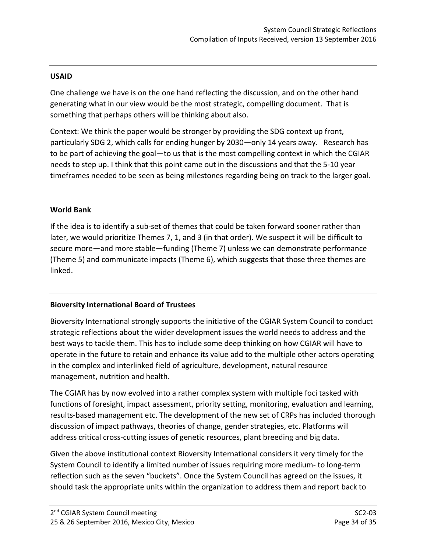### **USAID**

One challenge we have is on the one hand reflecting the discussion, and on the other hand generating what in our view would be the most strategic, compelling document. That is something that perhaps others will be thinking about also.

Context: We think the paper would be stronger by providing the SDG context up front, particularly SDG 2, which calls for ending hunger by 2030—only 14 years away. Research has to be part of achieving the goal—to us that is the most compelling context in which the CGIAR needs to step up. I think that this point came out in the discussions and that the 5-10 year timeframes needed to be seen as being milestones regarding being on track to the larger goal.

#### **World Bank**

If the idea is to identify a sub-set of themes that could be taken forward sooner rather than later, we would prioritize Themes 7, 1, and 3 (in that order). We suspect it will be difficult to secure more—and more stable—funding (Theme 7) unless we can demonstrate performance (Theme 5) and communicate impacts (Theme 6), which suggests that those three themes are linked.

## **Bioversity International Board of Trustees**

Bioversity International strongly supports the initiative of the CGIAR System Council to conduct strategic reflections about the wider development issues the world needs to address and the best ways to tackle them. This has to include some deep thinking on how CGIAR will have to operate in the future to retain and enhance its value add to the multiple other actors operating in the complex and interlinked field of agriculture, development, natural resource management, nutrition and health.

The CGIAR has by now evolved into a rather complex system with multiple foci tasked with functions of foresight, impact assessment, priority setting, monitoring, evaluation and learning, results-based management etc. The development of the new set of CRPs has included thorough discussion of impact pathways, theories of change, gender strategies, etc. Platforms will address critical cross-cutting issues of genetic resources, plant breeding and big data.

Given the above institutional context Bioversity International considers it very timely for the System Council to identify a limited number of issues requiring more medium- to long-term reflection such as the seven "buckets". Once the System Council has agreed on the issues, it should task the appropriate units within the organization to address them and report back to